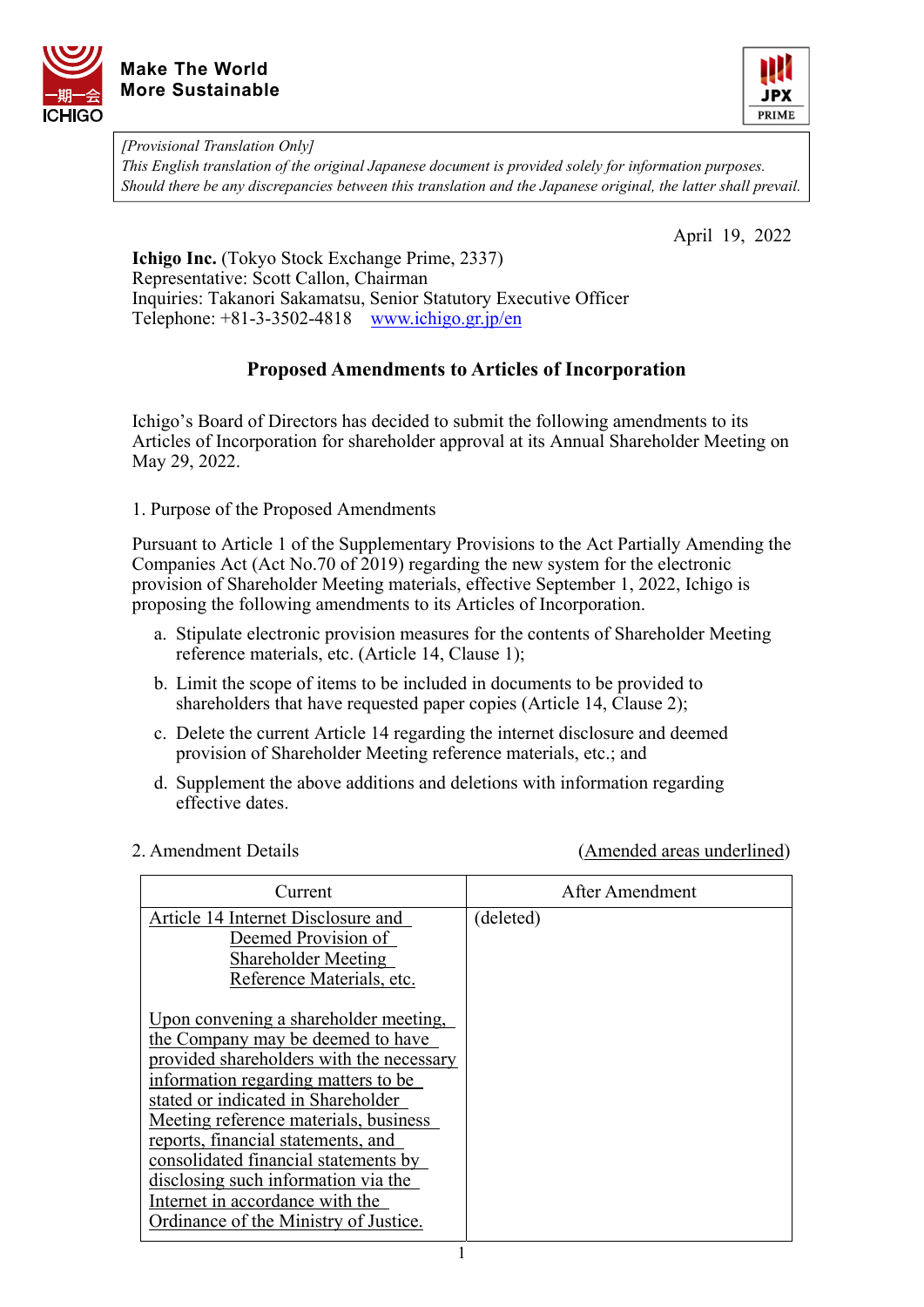



*[Provisional Translation Only]* 

*This English translation of the original Japanese document is provided solely for information purposes. Should there be any discrepancies between this translation and the Japanese original, the latter shall prevail.*

April 19, 2022

**Ichigo Inc.** (Tokyo Stock Exchange Prime, 2337) Representative: Scott Callon, Chairman Inquiries: Takanori Sakamatsu, Senior Statutory Executive Officer Telephone: +81-3-3502-4818 [www.ichigo.gr.jp/en](https://www.ichigo.gr.jp/en)

## **Proposed Amendments to Articles of Incorporation**

Ichigo's Board of Directors has decided to submit the following amendments to its Articles of Incorporation for shareholder approval at its Annual Shareholder Meeting on May 29, 2022.

1. Purpose of the Proposed Amendments

Pursuant to Article 1 of the Supplementary Provisions to the Act Partially Amending the Companies Act (Act No.70 of 2019) regarding the new system for the electronic provision of Shareholder Meeting materials, effective September 1, 2022, Ichigo is proposing the following amendments to its Articles of Incorporation.

- a. Stipulate electronic provision measures for the contents of Shareholder Meeting reference materials, etc. (Article 14, Clause 1);
- b. Limit the scope of items to be included in documents to be provided to shareholders that have requested paper copies (Article 14, Clause 2);
- c. Delete the current Article 14 regarding the internet disclosure and deemed provision of Shareholder Meeting reference materials, etc.; and
- d. Supplement the above additions and deletions with information regarding effective dates.

2. Amendment Details (Amended areas underlined)

| Current                                                                         | After Amendment |
|---------------------------------------------------------------------------------|-----------------|
| Article 14 Internet Disclosure and<br>Deemed Provision of                       | (deleted)       |
| Shareholder Meeting<br>Reference Materials, etc.                                |                 |
| Upon convening a shareholder meeting,                                           |                 |
| the Company may be deemed to have                                               |                 |
| provided shareholders with the necessary<br>information regarding matters to be |                 |
| stated or indicated in Shareholder<br>Meeting reference materials, business     |                 |
| reports, financial statements, and                                              |                 |
| consolidated financial statements by<br>disclosing such information via the     |                 |
| Internet in accordance with the<br>Ordinance of the Ministry of Justice.        |                 |
|                                                                                 |                 |